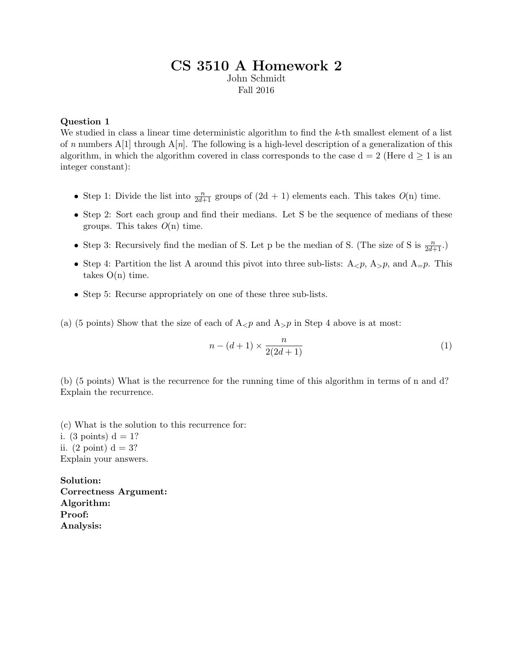# CS 3510 A Homework 2 John Schmidt

Fall 2016

### Question 1

We studied in class a linear time deterministic algorithm to find the k-th smallest element of a list of n numbers A[1] through  $A[n]$ . The following is a high-level description of a generalization of this algorithm, in which the algorithm covered in class corresponds to the case  $d = 2$  (Here  $d \ge 1$  is an integer constant):

- Step 1: Divide the list into  $\frac{n}{2d+1}$  groups of  $(2d + 1)$  elements each. This takes  $O(n)$  time.
- Step 2: Sort each group and find their medians. Let S be the sequence of medians of these groups. This takes  $O(n)$  time.
- Step 3: Recursively find the median of S. Let p be the median of S. (The size of S is  $\frac{n}{2d+1}$ .)
- Step 4: Partition the list A around this pivot into three sub-lists:  $A_{\leq p}$ ,  $A_{>p}$ , and  $A_{=p}$ . This takes  $O(n)$  time.
- Step 5: Recurse appropriately on one of these three sub-lists.
- (a) (5 points) Show that the size of each of  $A_{\leq p}$  and  $A_{\geq p}$  in Step 4 above is at most:

$$
n - (d+1) \times \frac{n}{2(2d+1)}
$$
 (1)

(b) (5 points) What is the recurrence for the running time of this algorithm in terms of n and d? Explain the recurrence.

(c) What is the solution to this recurrence for: i. (3 points)  $d = 1$ ? ii.  $(2 \text{ point}) d = 3?$ Explain your answers.

Solution: Correctness Argument: Algorithm: Proof: Analysis: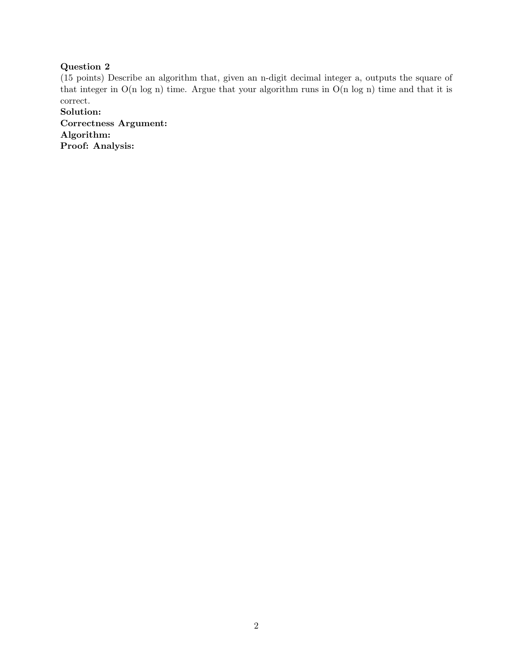# Question 2

(15 points) Describe an algorithm that, given an n-digit decimal integer a, outputs the square of that integer in O(n log n) time. Argue that your algorithm runs in O(n log n) time and that it is correct.

Solution: Correctness Argument: Algorithm: Proof: Analysis: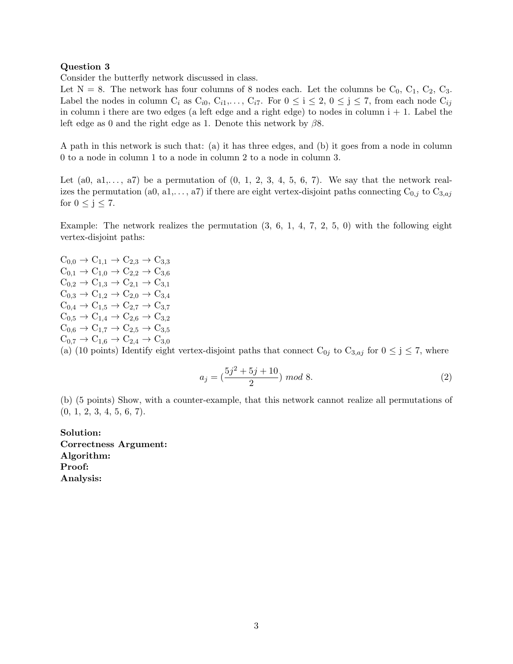#### Question 3

Consider the butterfly network discussed in class.

Let  $N = 8$ . The network has four columns of 8 nodes each. Let the columns be  $C_0$ ,  $C_1$ ,  $C_2$ ,  $C_3$ . Label the nodes in column  $C_i$  as  $C_{i0}$ ,  $C_{i1}$ ,...,  $C_{i7}$ . For  $0 \le i \le 2$ ,  $0 \le j \le 7$ , from each node  $C_{ij}$ in column i there are two edges (a left edge and a right edge) to nodes in column  $i + 1$ . Label the left edge as 0 and the right edge as 1. Denote this network by  $\beta$ 8.

A path in this network is such that: (a) it has three edges, and (b) it goes from a node in column 0 to a node in column 1 to a node in column 2 to a node in column 3.

Let  $(a0, a1, \ldots, a7)$  be a permutation of  $(0, 1, 2, 3, 4, 5, 6, 7)$ . We say that the network realizes the permutation (a0, a1,..., a7) if there are eight vertex-disjoint paths connecting  $C_{0,j}$  to  $C_{3,aj}$ for  $0 \le j \le 7$ .

Example: The network realizes the permutation  $(3, 6, 1, 4, 7, 2, 5, 0)$  with the following eight vertex-disjoint paths:

 $C_{0,0} \to C_{1,1} \to C_{2,3} \to C_{3,3}$  $C_{0,1} \rightarrow C_{1,0} \rightarrow C_{2,2} \rightarrow C_{3,6}$  $C_{0,2} \rightarrow C_{1,3} \rightarrow C_{2,1} \rightarrow C_{3,1}$  $C_{0,3} \rightarrow C_{1,2} \rightarrow C_{2,0} \rightarrow C_{3,4}$  $C_{0,4} \rightarrow C_{1,5} \rightarrow C_{2,7} \rightarrow C_{3,7}$  $C_{0,5} \rightarrow C_{1,4} \rightarrow C_{2,6} \rightarrow C_{3,2}$  $C_{0,6} \rightarrow C_{1,7} \rightarrow C_{2,5} \rightarrow C_{3,5}$  $C_{0,7} \rightarrow C_{1,6} \rightarrow C_{2,4} \rightarrow C_{3,0}$ (a) (10 points) Identify eight vertex-disjoint paths that connect  $C_{0j}$  to  $C_{3,aj}$  for  $0 \le j \le 7$ , where

$$
a_j = \left(\frac{5j^2 + 5j + 10}{2}\right) \mod 8. \tag{2}
$$

(b) (5 points) Show, with a counter-example, that this network cannot realize all permutations of  $(0, 1, 2, 3, 4, 5, 6, 7).$ 

Solution: Correctness Argument: Algorithm: Proof: Analysis: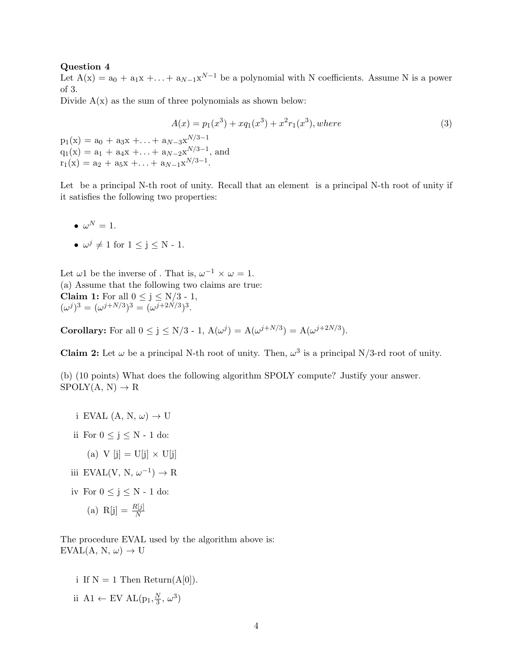#### Question 4

Let  $A(x) = a_0 + a_1x + \ldots + a_{N-1}x^{N-1}$  be a polynomial with N coefficients. Assume N is a power of 3.

Divide  $A(x)$  as the sum of three polynomials as shown below:

$$
A(x) = p_1(x^3) + xq_1(x^3) + x^2r_1(x^3), where
$$
  
\n
$$
p_1(x) = a_0 + a_3x + ... + a_{N-3}x^{N/3-1}
$$
  
\n
$$
q_1(x) = a_1 + a_4x + ... + a_{N-2}x^{N/3-1},
$$
 and  
\n
$$
r_1(x) = a_2 + a_5x + ... + a_{N-1}x^{N/3-1}.
$$
\n(3)

Let be a principal N-th root of unity. Recall that an element is a principal N-th root of unity if it satisfies the following two properties:

- $\bullet\;\omega^N=1.$
- $\omega^j \neq 1$  for  $1 \leq j \leq N$  1.

Let  $\omega 1$  be the inverse of . That is,  $\omega^{-1} \times \omega = 1$ . (a) Assume that the following two claims are true: **Claim 1:** For all  $0 \le j \le N/3 - 1$ ,  $(\omega^j)^3 = (\omega^{j+N/3})^3 = (\omega^{j+2N/3})^3.$ 

**Corollary:** For all  $0 \le j \le N/3$  - 1,  $A(\omega^j) = A(\omega^{j+N/3}) = A(\omega^{j+2N/3})$ .

**Claim 2:** Let  $\omega$  be a principal N-th root of unity. Then,  $\omega^3$  is a principal N/3-rd root of unity.

(b) (10 points) What does the following algorithm SPOLY compute? Justify your answer.  $SPOLY(A, N) \rightarrow R$ 

- i EVAL  $(A, N, \omega) \rightarrow U$
- ii For  $0 \le j \le N 1$  do:
- (a) V  $[j] = U[j] \times U[j]$
- iii EVAL(V, N,  $\omega^{-1}$ )  $\rightarrow$  R
- iv For  $0 \le j \le N 1$  do:
	- (a) R[j] =  $\frac{R[j]}{N}$

The procedure EVAL used by the algorithm above is:  $EVAL(A, N, \omega) \rightarrow U$ 

- i If  $N = 1$  Then Return(A[0]).
- ii A1 ← EV AL $(p_1, \frac{N}{3})$  $\frac{N}{3}, \omega^3$ )